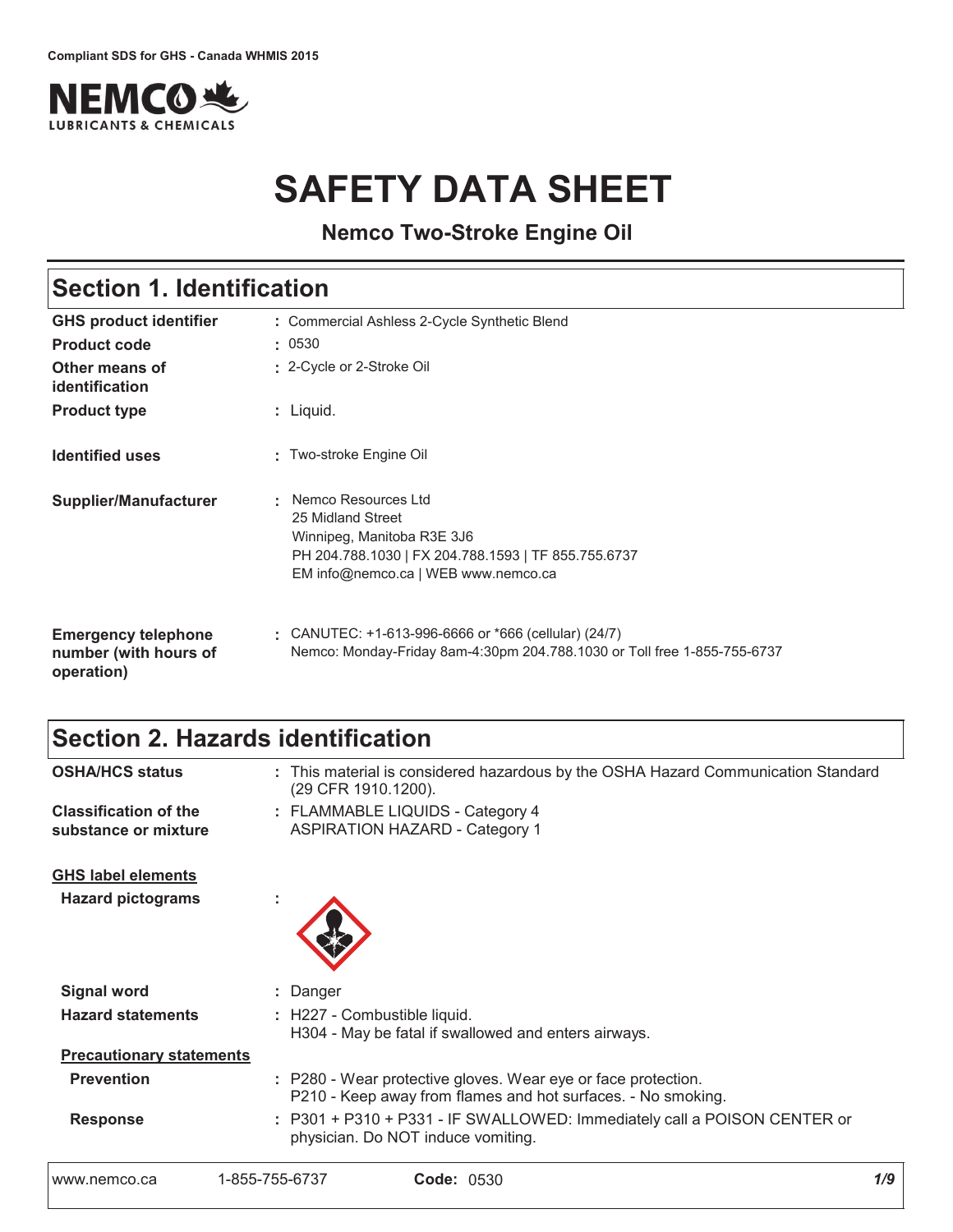

# **SAFETY DATA SHEET**

**Nemco Two-Stroke Engine Oil**

# Section 1. Identification

| <b>GHS product identifier</b>                                     | : Commercial Ashless 2-Cycle Synthetic Blend                                                                                                                         |
|-------------------------------------------------------------------|----------------------------------------------------------------------------------------------------------------------------------------------------------------------|
| <b>Product code</b>                                               | : 0530                                                                                                                                                               |
| Other means of<br>identification                                  | : 2-Cycle or 2-Stroke Oil                                                                                                                                            |
| <b>Product type</b>                                               | : Liquid.                                                                                                                                                            |
| <b>Identified uses</b>                                            | : Two-stroke Engine Oil                                                                                                                                              |
| <b>Supplier/Manufacturer</b>                                      | Nemco Resources Ltd<br>25 Midland Street<br>Winnipeg, Manitoba R3E 3J6<br>PH 204.788.1030   FX 204.788.1593   TF 855.755.6737<br>EM info@nemco.ca   WEB www.nemco.ca |
| <b>Emergency telephone</b><br>number (with hours of<br>operation) | $\pm$ CANUTEC: +1-613-996-6666 or *666 (cellular) (24/7)<br>Nemco: Monday-Friday 8am-4:30pm 204.788.1030 or Toll free 1-855-755-6737                                 |

# Section 2. Hazards identification

| www.nemco.ca                                          | 1-855-755-6737<br><b>Code: 0530</b>                                                                                           | 1/9 |
|-------------------------------------------------------|-------------------------------------------------------------------------------------------------------------------------------|-----|
| <b>Response</b>                                       | : P301 + P310 + P331 - IF SWALLOWED: Immediately call a POISON CENTER or<br>physician. Do NOT induce vomiting.                |     |
| <b>Prevention</b>                                     | : P280 - Wear protective gloves. Wear eye or face protection.<br>P210 - Keep away from flames and hot surfaces. - No smoking. |     |
| <b>Precautionary statements</b>                       |                                                                                                                               |     |
| <b>Hazard statements</b>                              | : H227 - Combustible liquid.<br>H304 - May be fatal if swallowed and enters airways.                                          |     |
| <b>Signal word</b>                                    | : Danger                                                                                                                      |     |
| <b>GHS label elements</b><br><b>Hazard pictograms</b> |                                                                                                                               |     |
| substance or mixture                                  | <b>ASPIRATION HAZARD - Category 1</b>                                                                                         |     |
| <b>Classification of the</b>                          | : FLAMMABLE LIQUIDS - Category 4                                                                                              |     |
| <b>OSHA/HCS status</b>                                | : This material is considered hazardous by the OSHA Hazard Communication Standard<br>(29 CFR 1910.1200).                      |     |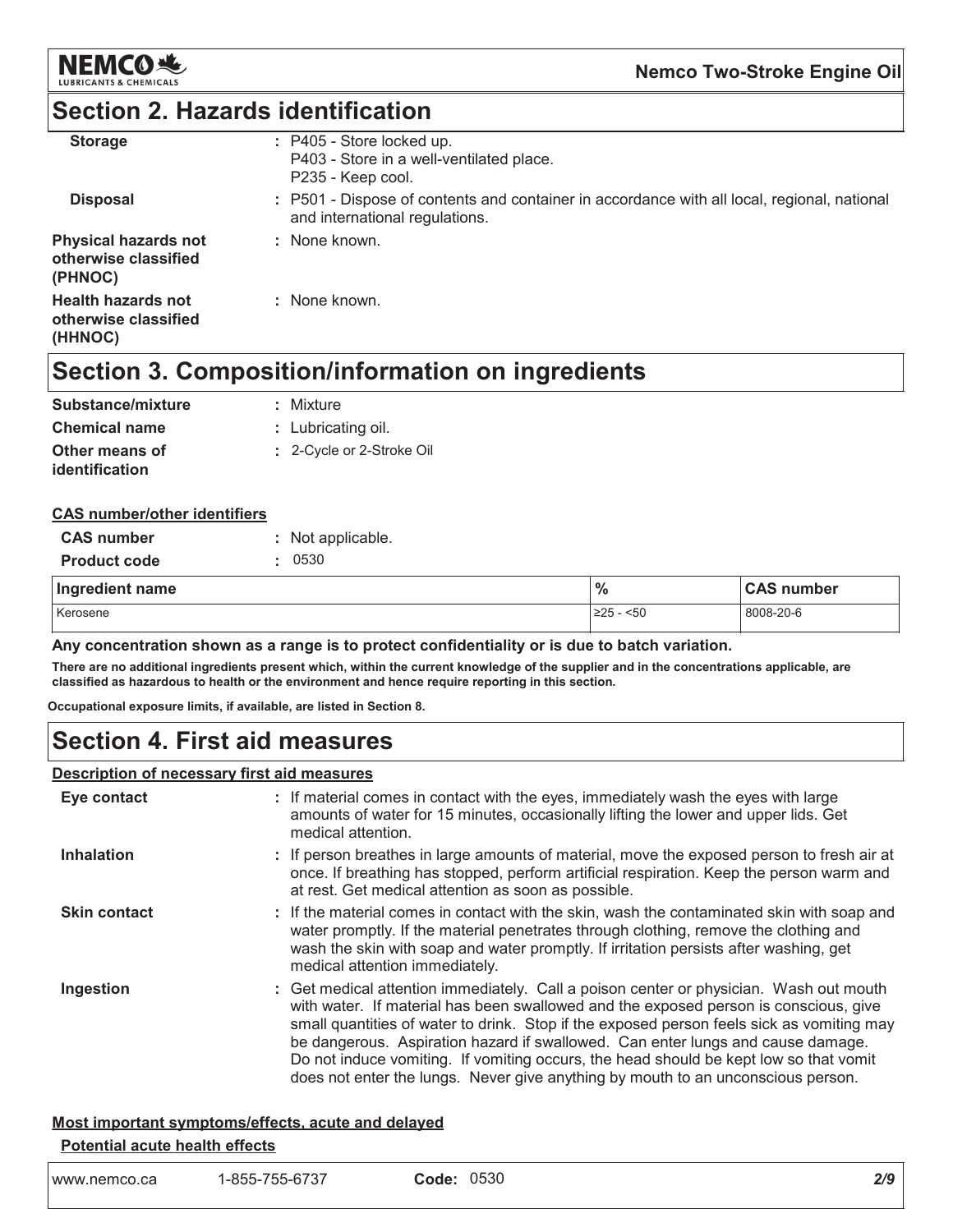

### **Section 2. Hazards identification**

| <b>Storage</b>                                                 | $:$ P405 - Store locked up.<br>P403 - Store in a well-ventilated place.<br>P235 - Keep cool.                                  |
|----------------------------------------------------------------|-------------------------------------------------------------------------------------------------------------------------------|
| <b>Disposal</b>                                                | : P501 - Dispose of contents and container in accordance with all local, regional, national<br>and international regulations. |
| <b>Physical hazards not</b><br>otherwise classified<br>(PHNOC) | : None known.                                                                                                                 |
| <b>Health hazards not</b><br>otherwise classified<br>(HHNOC)   | : None known.                                                                                                                 |

# Section 3. Composition/information on ingredients

| Substance/mixture    | : Mixture                 |
|----------------------|---------------------------|
| <b>Chemical name</b> | : Lubricating oil.        |
| Other means of       | : 2-Cycle or 2-Stroke Oil |
| identification       |                           |

#### **CAS number/other identifiers**

| <b>CAS number</b>   | : Not applicable. |               |                   |
|---------------------|-------------------|---------------|-------------------|
| <b>Product code</b> | 0530              |               |                   |
| Ingredient name     |                   | $\frac{1}{2}$ | <b>CAS number</b> |
| Kerosene            |                   | $ 225 - 50$   | 8008-20-6         |

Any concentration shown as a range is to protect confidentiality or is due to batch variation.

There are no additional ingredients present which, within the current knowledge of the supplier and in the concentrations applicable, are classified as hazardous to health or the environment and hence require reporting in this section.

Occupational exposure limits, if available, are listed in Section 8.

### **Section 4. First aid measures**

#### **Description of necessary first aid measures**

| Eye contact         | : If material comes in contact with the eyes, immediately wash the eyes with large<br>amounts of water for 15 minutes, occasionally lifting the lower and upper lids. Get<br>medical attention.                                                                                                                                                                                                                                                                                                                                             |
|---------------------|---------------------------------------------------------------------------------------------------------------------------------------------------------------------------------------------------------------------------------------------------------------------------------------------------------------------------------------------------------------------------------------------------------------------------------------------------------------------------------------------------------------------------------------------|
| <b>Inhalation</b>   | : If person breathes in large amounts of material, move the exposed person to fresh air at<br>once. If breathing has stopped, perform artificial respiration. Keep the person warm and<br>at rest. Get medical attention as soon as possible.                                                                                                                                                                                                                                                                                               |
| <b>Skin contact</b> | : If the material comes in contact with the skin, wash the contaminated skin with soap and<br>water promptly. If the material penetrates through clothing, remove the clothing and<br>wash the skin with soap and water promptly. If irritation persists after washing, get<br>medical attention immediately.                                                                                                                                                                                                                               |
| Ingestion           | : Get medical attention immediately. Call a poison center or physician. Wash out mouth<br>with water. If material has been swallowed and the exposed person is conscious, give<br>small quantities of water to drink. Stop if the exposed person feels sick as vomiting may<br>be dangerous. Aspiration hazard if swallowed. Can enter lungs and cause damage.<br>Do not induce vomiting. If vomiting occurs, the head should be kept low so that vomit<br>does not enter the lungs. Never give anything by mouth to an unconscious person. |

### Most important symptoms/effects, acute and delayed

#### Potential acute health effects

| www.nemco.ca | 1-855-755-6737 | Code: 0530 |
|--------------|----------------|------------|
|--------------|----------------|------------|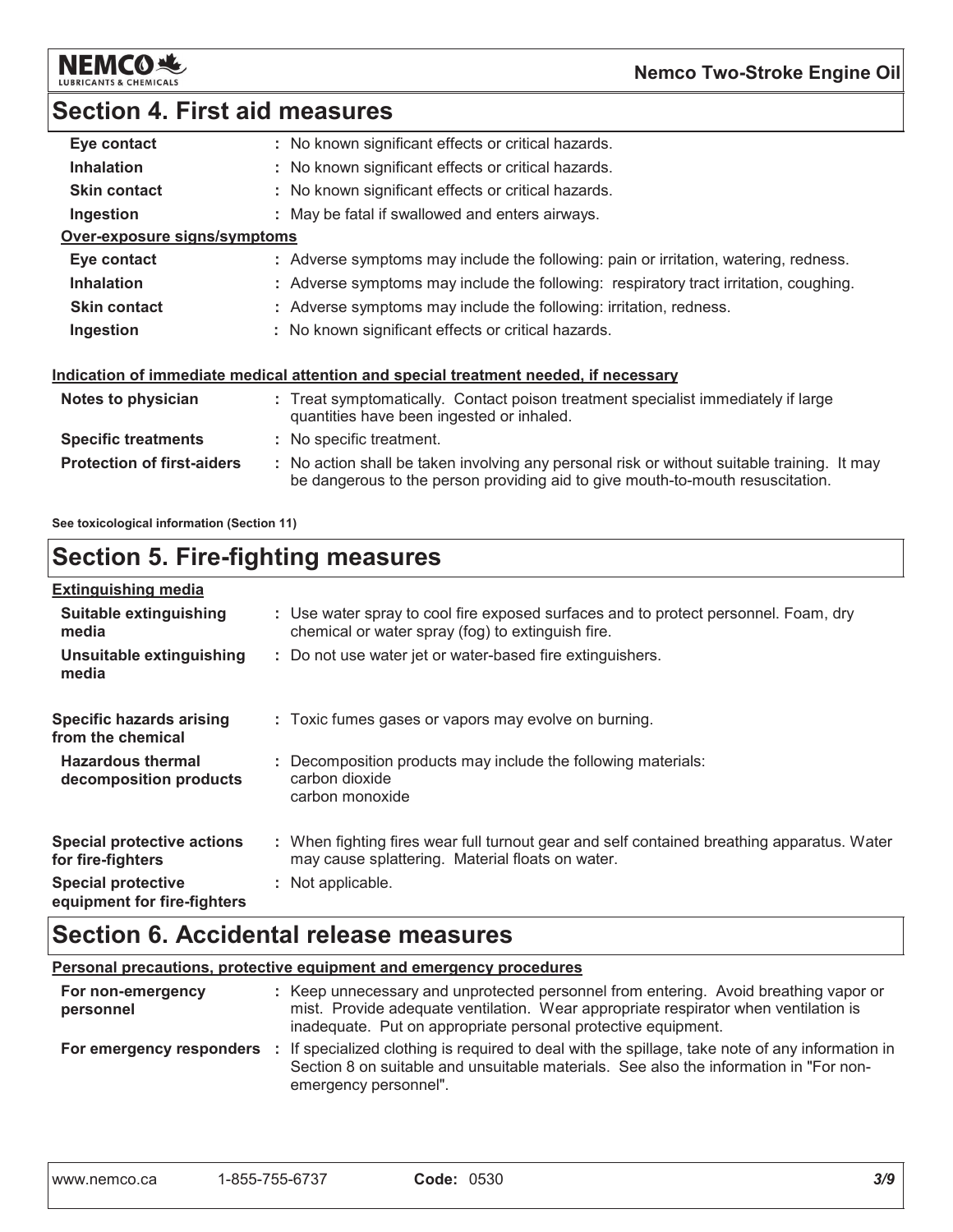

### **Section 4. First aid measures**

| Eye contact                       | : No known significant effects or critical hazards.                                                                                                                           |
|-----------------------------------|-------------------------------------------------------------------------------------------------------------------------------------------------------------------------------|
| <b>Inhalation</b>                 | : No known significant effects or critical hazards.                                                                                                                           |
| <b>Skin contact</b>               | : No known significant effects or critical hazards.                                                                                                                           |
| Ingestion                         | : May be fatal if swallowed and enters airways.                                                                                                                               |
| Over-exposure signs/symptoms      |                                                                                                                                                                               |
| Eye contact                       | : Adverse symptoms may include the following: pain or irritation, watering, redness.                                                                                          |
| <b>Inhalation</b>                 | : Adverse symptoms may include the following: respiratory tract irritation, coughing.                                                                                         |
| <b>Skin contact</b>               | : Adverse symptoms may include the following: irritation, redness.                                                                                                            |
| Ingestion                         | : No known significant effects or critical hazards.                                                                                                                           |
|                                   | <u>Indication of immediate medical attention and special treatment needed, if necessary</u>                                                                                   |
| Notes to physician                | : Treat symptomatically. Contact poison treatment specialist immediately if large<br>quantities have been ingested or inhaled.                                                |
| <b>Specific treatments</b>        | : No specific treatment.                                                                                                                                                      |
| <b>Protection of first-aiders</b> | : No action shall be taken involving any personal risk or without suitable training. It may<br>be dangerous to the person providing aid to give mouth-to-mouth resuscitation. |
|                                   |                                                                                                                                                                               |

See toxicological information (Section 11)

# Section 5. Fire-fighting measures

| <b>Extinguishing media</b>                               |                                                                                                                                                |
|----------------------------------------------------------|------------------------------------------------------------------------------------------------------------------------------------------------|
| Suitable extinguishing<br>media                          | : Use water spray to cool fire exposed surfaces and to protect personnel. Foam, dry<br>chemical or water spray (fog) to extinguish fire.       |
| Unsuitable extinguishing<br>media                        | : Do not use water jet or water-based fire extinguishers.                                                                                      |
| <b>Specific hazards arising</b><br>from the chemical     | : Toxic fumes gases or vapors may evolve on burning.                                                                                           |
| <b>Hazardous thermal</b><br>decomposition products       | : Decomposition products may include the following materials:<br>carbon dioxide<br>carbon monoxide                                             |
| <b>Special protective actions</b><br>for fire-fighters   | : When fighting fires wear full turnout gear and self contained breathing apparatus. Water<br>may cause splattering. Material floats on water. |
| <b>Special protective</b><br>equipment for fire-fighters | : Not applicable.                                                                                                                              |

# **Section 6. Accidental release measures**

Personal precautions, protective equipment and emergency procedures

| For non-emergency<br>personnel | : Keep unnecessary and unprotected personnel from entering. Avoid breathing vapor or<br>mist. Provide adequate ventilation. Wear appropriate respirator when ventilation is<br>inadequate. Put on appropriate personal protective equipment. |
|--------------------------------|----------------------------------------------------------------------------------------------------------------------------------------------------------------------------------------------------------------------------------------------|
|                                | For emergency responders : If specialized clothing is required to deal with the spillage, take note of any information in<br>Section 8 on suitable and unsuitable materials. See also the information in "For non-<br>emergency personnel".  |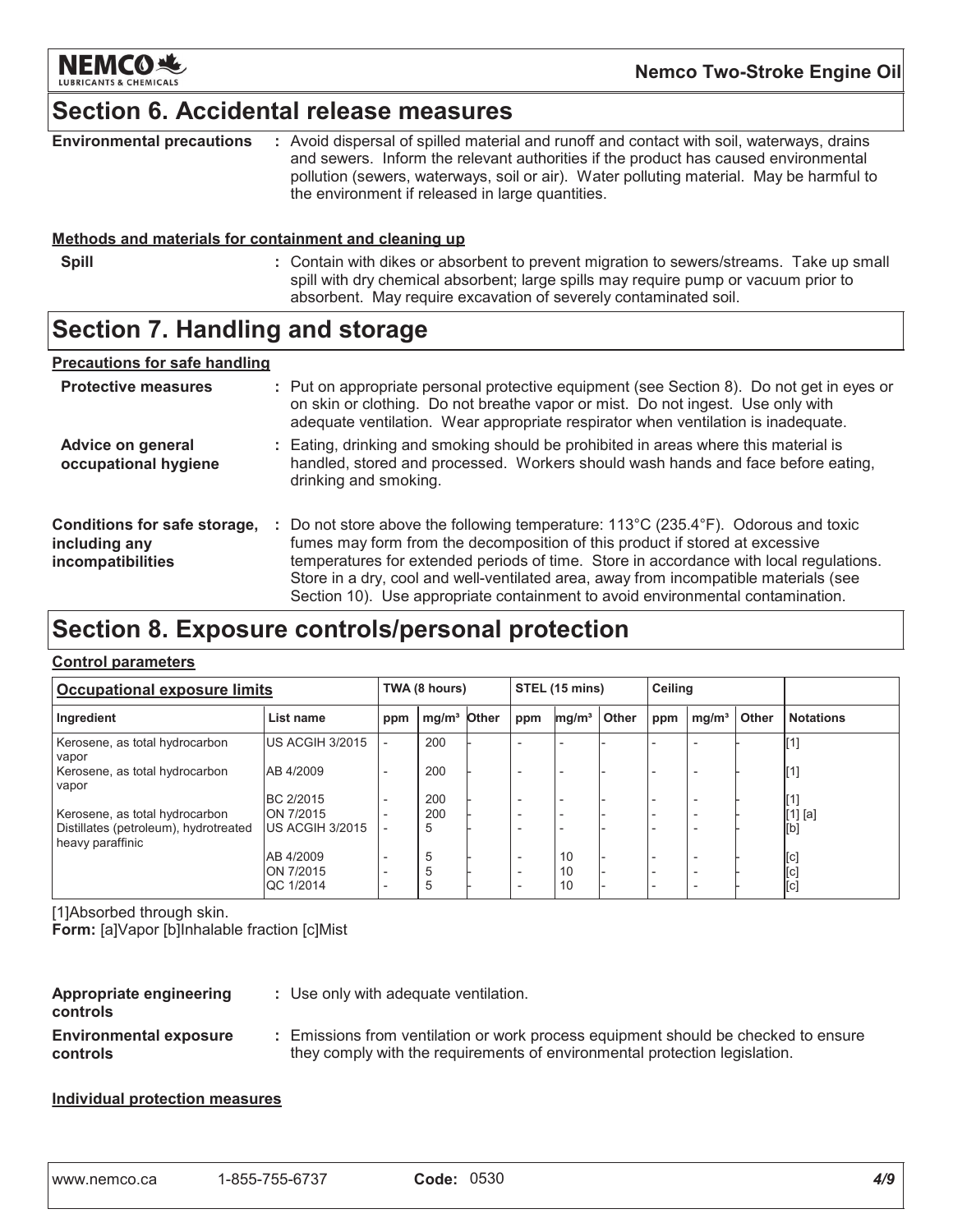

### **Section 6. Accidental release measures**

| <b>Environmental precautions</b> | Avoid dispersal of spilled material and runoff and contact with soil, waterways, drains |
|----------------------------------|-----------------------------------------------------------------------------------------|
|                                  | and sewers. Inform the relevant authorities if the product has caused environmental     |
|                                  | pollution (sewers, waterways, soil or air). Water polluting material. May be harmful to |
|                                  | the environment if released in large quantities.                                        |

#### Methods and materials for containment and cleaning up

- **Spill**
- : Contain with dikes or absorbent to prevent migration to sewers/streams. Take up small spill with dry chemical absorbent; large spills may require pump or vacuum prior to absorbent. May require excavation of severely contaminated soil.

### **Section 7. Handling and storage**

#### **Precautions for safe handling**

| <b>Protective measures</b>                                         |    | : Put on appropriate personal protective equipment (see Section 8). Do not get in eyes or<br>on skin or clothing. Do not breathe vapor or mist. Do not ingest. Use only with<br>adequate ventilation. Wear appropriate respirator when ventilation is inadequate.                                                                                                                                                                                         |
|--------------------------------------------------------------------|----|-----------------------------------------------------------------------------------------------------------------------------------------------------------------------------------------------------------------------------------------------------------------------------------------------------------------------------------------------------------------------------------------------------------------------------------------------------------|
| Advice on general<br>occupational hygiene                          |    | : Eating, drinking and smoking should be prohibited in areas where this material is<br>handled, stored and processed. Workers should wash hands and face before eating,<br>drinking and smoking.                                                                                                                                                                                                                                                          |
| Conditions for safe storage,<br>including any<br>incompatibilities | ÷. | Do not store above the following temperature: $113^{\circ}$ C (235.4 $^{\circ}$ F). Odorous and toxic<br>fumes may form from the decomposition of this product if stored at excessive<br>temperatures for extended periods of time. Store in accordance with local regulations.<br>Store in a dry, cool and well-ventilated area, away from incompatible materials (see<br>Section 10). Use appropriate containment to avoid environmental contamination. |

### Section 8. Exposure controls/personal protection

#### **Control parameters**

| <b>Occupational exposure limits</b>                       |                               | TWA (8 hours)            |                         | STEL (15 mins) |                          | Ceiling           |       |     |                   |              |                           |
|-----------------------------------------------------------|-------------------------------|--------------------------|-------------------------|----------------|--------------------------|-------------------|-------|-----|-------------------|--------------|---------------------------|
| Ingredient                                                | List name                     | ppm                      | mg/m <sup>3</sup> Other |                | ppm                      | mg/m <sup>3</sup> | Other | ppm | mq/m <sup>3</sup> | <b>Other</b> | <b>Notations</b>          |
| Kerosene, as total hydrocarbon<br>vapor                   | US ACGIH 3/2015               | $\overline{a}$           | 200                     |                |                          |                   |       |     |                   |              |                           |
| Kerosene, as total hydrocarbon<br>vapor                   | AB 4/2009                     | $\overline{\phantom{0}}$ | 200                     |                |                          |                   |       |     |                   |              | $\llbracket 1 \rrbracket$ |
|                                                           | BC 2/2015                     |                          | 200                     |                |                          |                   |       |     |                   |              |                           |
| Kerosene, as total hydrocarbon                            | ON 7/2015                     |                          | 200                     |                |                          |                   |       |     |                   |              | $[1]$ [a]                 |
| Distillates (petroleum), hydrotreated<br>heavy paraffinic | US ACGIH 3/2015               |                          | 5                       |                |                          |                   |       |     |                   |              | [b]                       |
|                                                           | AB 4/2009                     | $\overline{\phantom{a}}$ | 5                       |                | $\overline{\phantom{0}}$ | 10                |       |     |                   |              | [c]                       |
|                                                           | ON 7/2015<br><b>QC 1/2014</b> | $\qquad \qquad$          | 5<br>b                  |                |                          | 10<br>10          |       |     |                   |              | [c]<br>[c]                |

[1]Absorbed through skin.

Form: [a]Vapor [b]Inhalable fraction [c]Mist

| Appropriate engineering<br><b>controls</b>       | : Use only with adequate ventilation.                                                |
|--------------------------------------------------|--------------------------------------------------------------------------------------|
| <b>Environmental exposure</b><br><b>controls</b> | : Emissions from ventilation or work proc<br>they comply with the requirements of er |

#### ess equipment should be checked to ensure nvironmental protection legislation.

#### **Individual protection measures**

| I www.nemco.ca | 1-855-755-6737 | Code: 0530 |  |
|----------------|----------------|------------|--|
|----------------|----------------|------------|--|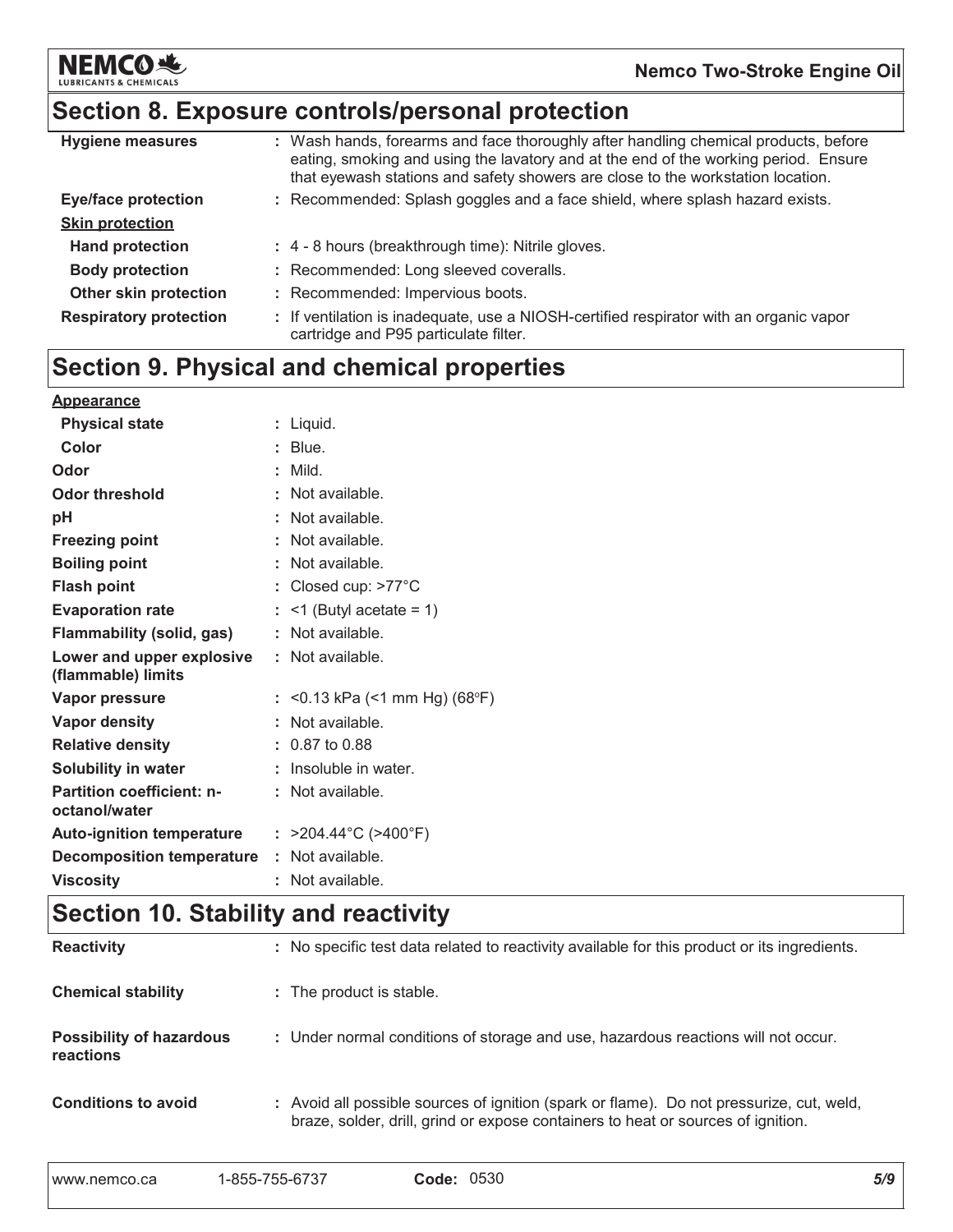

# Section 8. Exposure controls/personal protection

| <b>Hygiene measures</b>       | : Wash hands, forearms and face thoroughly after handling chemical products, before<br>eating, smoking and using the lavatory and at the end of the working period. Ensure<br>that eyewash stations and safety showers are close to the workstation location. |
|-------------------------------|---------------------------------------------------------------------------------------------------------------------------------------------------------------------------------------------------------------------------------------------------------------|
| <b>Eye/face protection</b>    | : Recommended: Splash goggles and a face shield, where splash hazard exists.                                                                                                                                                                                  |
| <b>Skin protection</b>        |                                                                                                                                                                                                                                                               |
| <b>Hand protection</b>        | : 4 - 8 hours (breakthrough time): Nitrile gloves.                                                                                                                                                                                                            |
| <b>Body protection</b>        | : Recommended: Long sleeved coveralls.                                                                                                                                                                                                                        |
| Other skin protection         | : Recommended: Impervious boots.                                                                                                                                                                                                                              |
| <b>Respiratory protection</b> | : If ventilation is inadequate, use a NIOSH-certified respirator with an organic vapor<br>cartridge and P95 particulate filter.                                                                                                                               |

# **Section 9. Physical and chemical properties**

| <b>Appearance</b>                                 |                                           |
|---------------------------------------------------|-------------------------------------------|
| <b>Physical state</b>                             | $:$ Liquid.                               |
| Color                                             | $:$ Blue.                                 |
| Odor                                              | : Mild                                    |
| Odor threshold                                    | : Not available.                          |
| рH                                                | $:$ Not available.                        |
| <b>Freezing point</b>                             | $:$ Not available.                        |
| <b>Boiling point</b>                              | $:$ Not available.                        |
| <b>Flash point</b>                                | : Closed cup: $>77^{\circ}$ C             |
| <b>Evaporation rate</b>                           | $:$ <1 (Butyl acetate = 1)                |
| <b>Flammability (solid, gas)</b>                  | $:$ Not available.                        |
| Lower and upper explosive<br>(flammable) limits   | $:$ Not available.                        |
| Vapor pressure                                    | : <0.13 kPa (<1 mm Hg) (68°F)             |
| <b>Vapor density</b>                              | : Not available.                          |
| <b>Relative density</b>                           | $: 0.87$ to 0.88                          |
| <b>Solubility in water</b>                        | $:$ Insoluble in water.                   |
| <b>Partition coefficient: n-</b><br>octanol/water | $:$ Not available.                        |
| <b>Auto-ignition temperature</b>                  | : $>204.44^{\circ}$ C ( $>400^{\circ}$ F) |
| <b>Decomposition temperature</b>                  | $:$ Not available.                        |
| <b>Viscosity</b>                                  | Not available.                            |

# Section 10. Stability and reactivity

| <b>Reactivity</b>                            | : No specific test data related to reactivity available for this product or its ingredients.                                                                                 |
|----------------------------------------------|------------------------------------------------------------------------------------------------------------------------------------------------------------------------------|
| <b>Chemical stability</b>                    | : The product is stable.                                                                                                                                                     |
| <b>Possibility of hazardous</b><br>reactions | : Under normal conditions of storage and use, hazardous reactions will not occur.                                                                                            |
| <b>Conditions to avoid</b>                   | : Avoid all possible sources of ignition (spark or flame). Do not pressurize, cut, weld,<br>braze, solder, drill, grind or expose containers to heat or sources of ignition. |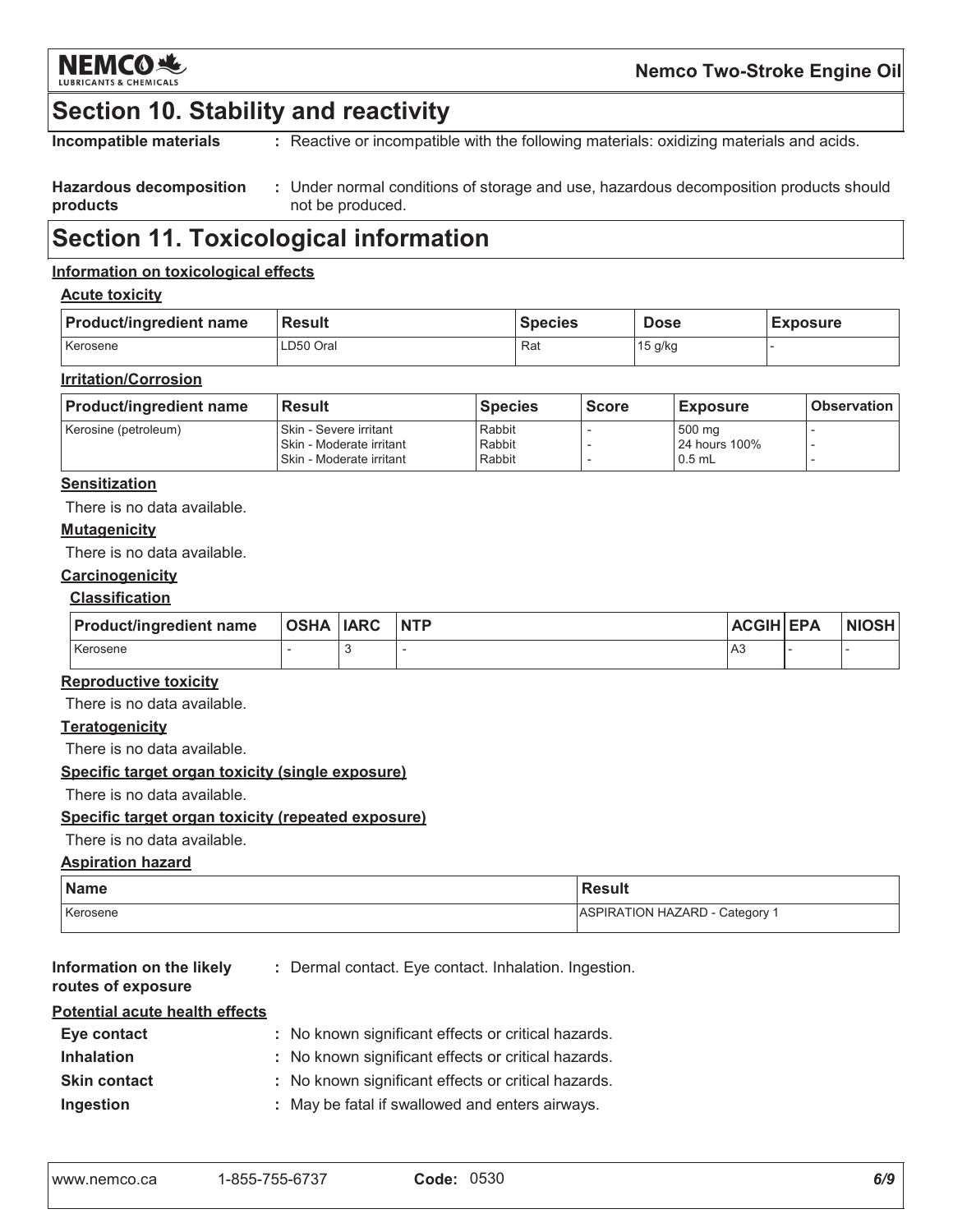

### **Section 10. Stability and reactivity**

Incompatible materials : Reactive or incompatible with the following materials: oxidizing materials and acids.

#### **Hazardous decomposition** : Under normal conditions of storage and use, hazardous decomposition products should products not be produced.

### **Section 11. Toxicological information**

#### Information on toxicological effects

#### **Acute toxicity**

| <b>Product/ingredient name</b> | <b>Result</b> | <b>Species</b> | Dose    | <b>Exposure</b> |
|--------------------------------|---------------|----------------|---------|-----------------|
| Kerosene                       | LD50 Oral     | Rat            | 15 g/kg |                 |

#### **Irritation/Corrosion**

| <b>Product/ingredient name</b> | <b>Result</b>                                                                        | <b>Species</b>             | <b>Score</b> | <b>Exposure</b>                     | <b>Observation</b> |
|--------------------------------|--------------------------------------------------------------------------------------|----------------------------|--------------|-------------------------------------|--------------------|
| Kerosine (petroleum)           | I Skin - Severe irritant<br>l Skin - Moderate irritant<br>l Skin - Moderate irritant | Rabbit<br>Rabbit<br>Rabbit |              | 500 mg<br>24 hours 100%<br>$0.5$ mL |                    |

#### **Sensitization**

There is no data available.

#### **Mutagenicity**

There is no data available.

#### Carcinogenicity

#### **Classification**

| <b>Product/ingredient name</b> | <b>OSHA IARC</b> | <b>NTP</b> | <b>ACGIH EPA</b> | <b>NIOSH</b> |
|--------------------------------|------------------|------------|------------------|--------------|
| Kerosene                       |                  |            | A <sub>3</sub>   |              |

#### **Reproductive toxicity**

There is no data available.

#### **Teratogenicity**

There is no data available.

#### Specific target organ toxicity (single exposure)

There is no data available.

#### Specific target organ toxicity (repeated exposure)

#### There is no data available.

#### **Aspiration hazard**

| <b>Name</b> | <b>Result</b>                |
|-------------|------------------------------|
| Kerosene    | ASPIRATION HAZARD - Category |

| Information on the likely      | : Dermal contact. Eve contact. Inhalation. Ingestion. |
|--------------------------------|-------------------------------------------------------|
| routes of exposure             |                                                       |
| Potential acute health effects |                                                       |

| Eye contact         | : No known significant effects or critical hazards. |
|---------------------|-----------------------------------------------------|
| <b>Inhalation</b>   | : No known significant effects or critical hazards. |
| <b>Skin contact</b> | : No known significant effects or critical hazards. |
| Ingestion           | : May be fatal if swallowed and enters airways.     |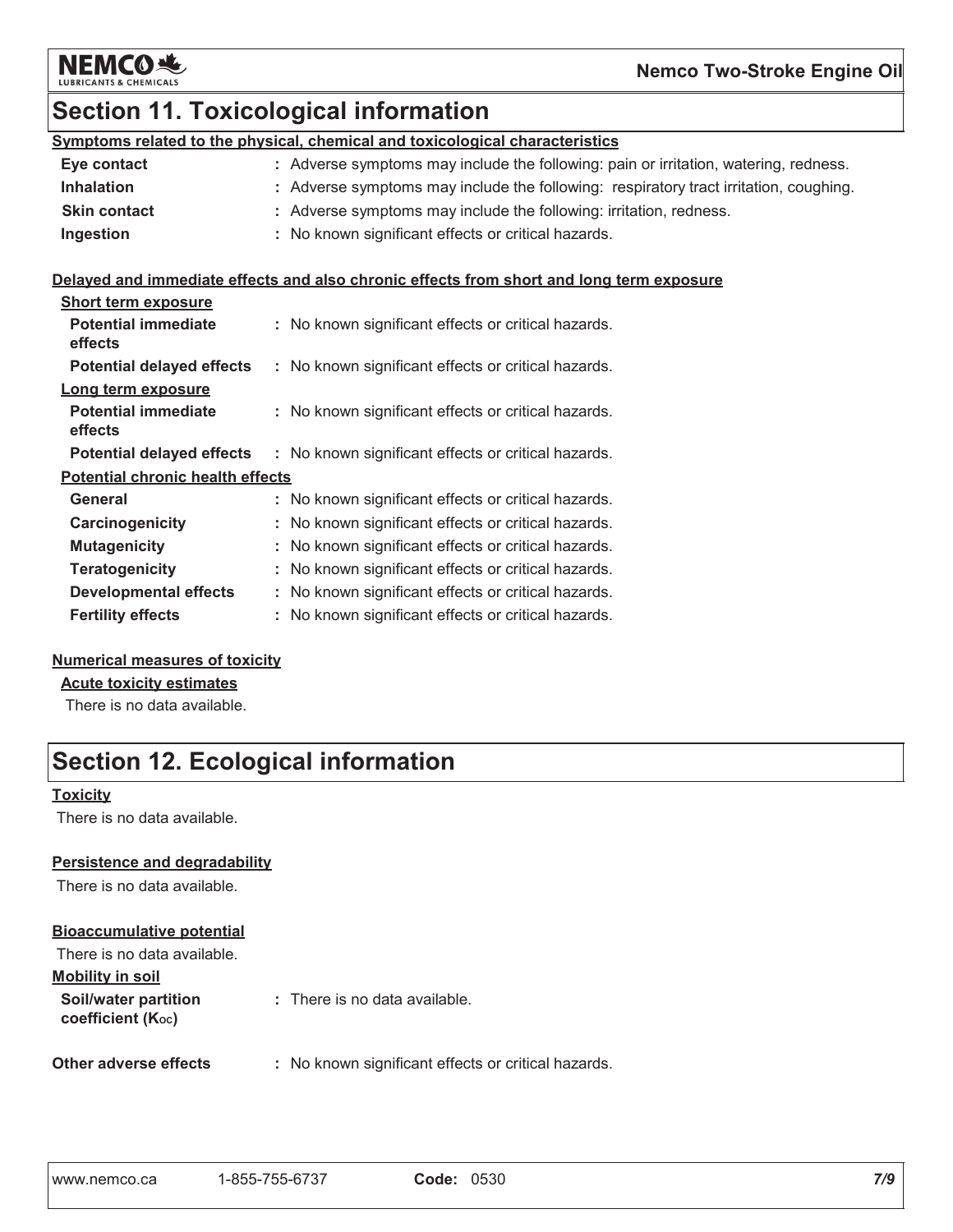

# **Section 11. Toxicological information**

| Symptoms related to the physical, chemical and toxicological characteristics |                                                                                       |  |  |
|------------------------------------------------------------------------------|---------------------------------------------------------------------------------------|--|--|
| Eye contact                                                                  | : Adverse symptoms may include the following: pain or irritation, watering, redness.  |  |  |
| <b>Inhalation</b>                                                            | : Adverse symptoms may include the following: respiratory tract irritation, coughing. |  |  |
| <b>Skin contact</b>                                                          | : Adverse symptoms may include the following: irritation, redness.                    |  |  |
| Ingestion                                                                    | : No known significant effects or critical hazards.                                   |  |  |

#### Delayed and immediate effects and also chronic effects from short and long term exposure

| <b>Short term exposure</b>              |                                                     |  |
|-----------------------------------------|-----------------------------------------------------|--|
| <b>Potential immediate</b><br>effects   | : No known significant effects or critical hazards. |  |
| <b>Potential delayed effects</b>        | : No known significant effects or critical hazards. |  |
| Long term exposure                      |                                                     |  |
| <b>Potential immediate</b><br>effects   | : No known significant effects or critical hazards. |  |
| <b>Potential delayed effects</b>        | : No known significant effects or critical hazards. |  |
| <b>Potential chronic health effects</b> |                                                     |  |
| General                                 | : No known significant effects or critical hazards. |  |
| Carcinogenicity                         | : No known significant effects or critical hazards. |  |
| <b>Mutagenicity</b>                     | : No known significant effects or critical hazards. |  |
| <b>Teratogenicity</b>                   | : No known significant effects or critical hazards. |  |
| <b>Developmental effects</b>            | : No known significant effects or critical hazards. |  |
| <b>Fertility effects</b>                | : No known significant effects or critical hazards. |  |

#### **Numerical measures of toxicity**

#### **Acute toxicity estimates**

There is no data available.

# **Section 12. Ecological information**

#### **Toxicity**

There is no data available.

#### **Persistence and degradability**

There is no data available.

#### **Bioaccumulative potential**

| There is no data available.                            |                                                |
|--------------------------------------------------------|------------------------------------------------|
| <b>Mobility in soil</b>                                |                                                |
| Soil/water partition<br>coefficient (K <sub>oc</sub> ) | : There is no data available.                  |
| Other adverse effects                                  | : No known significant effects or critical has |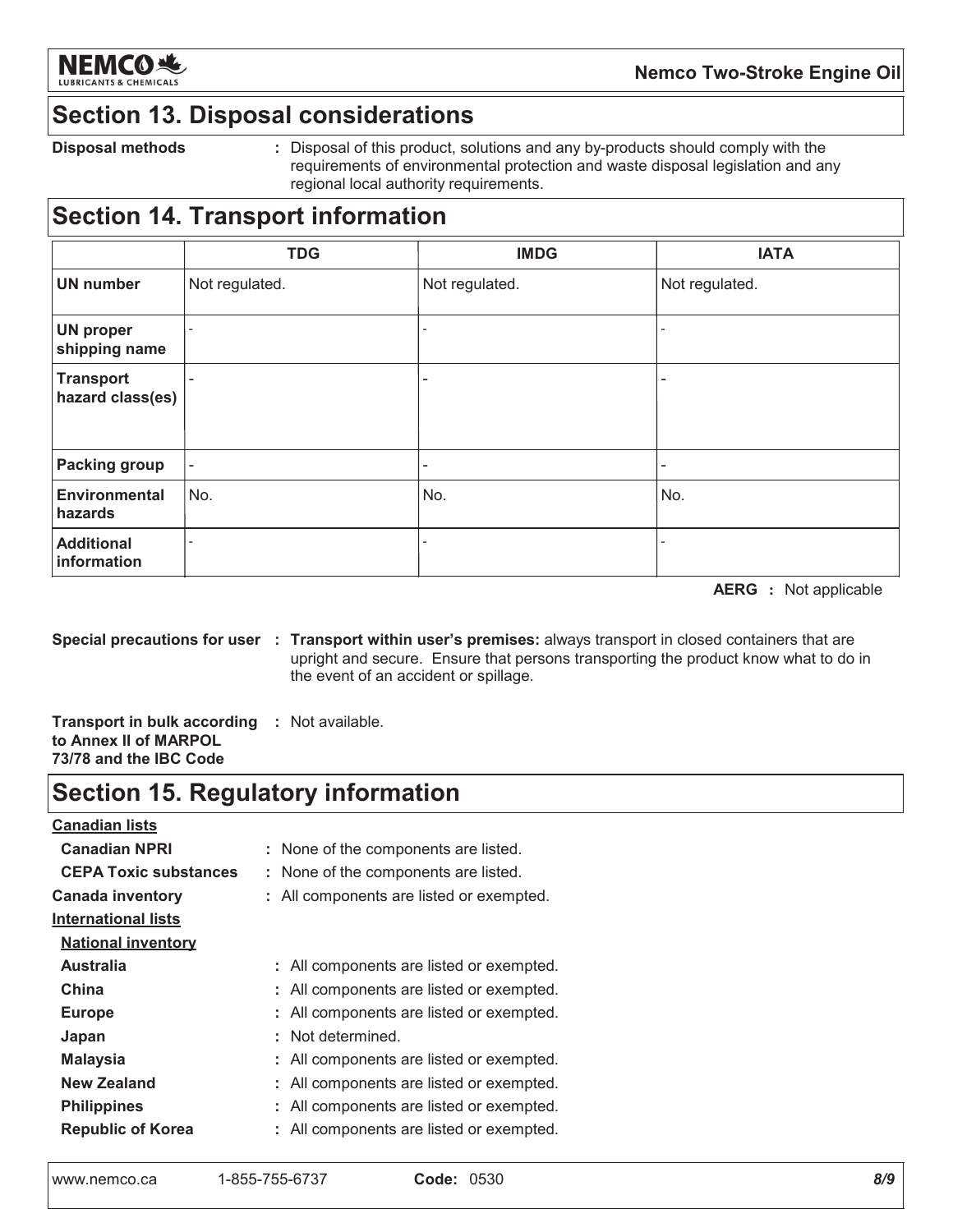

### **Section 13. Disposal considerations**

**Disposal methods** 

: Disposal of this product, solutions and any by-products should comply with the requirements of environmental protection and waste disposal legislation and any regional local authority requirements.

# **Section 14. Transport information**

|                                      | <b>TDG</b>               | <b>IMDG</b>              | <b>IATA</b>              |
|--------------------------------------|--------------------------|--------------------------|--------------------------|
| <b>UN number</b>                     | Not regulated.           | Not regulated.           | Not regulated.           |
| <b>UN proper</b><br>shipping name    | $\overline{\phantom{a}}$ |                          |                          |
| <b>Transport</b><br>hazard class(es) | $\overline{\phantom{0}}$ | ٠                        | -                        |
| <b>Packing group</b>                 | $\overline{\phantom{a}}$ | $\overline{\phantom{a}}$ | $\overline{\phantom{a}}$ |
| <b>Environmental</b><br>hazards      | No.                      | No.                      | No.                      |
| <b>Additional</b><br>information     |                          |                          |                          |

**AERG** : Not applicable

Special precautions for user : Transport within user's premises: always transport in closed containers that are upright and secure. Ensure that persons transporting the product know what to do in the event of an accident or spillage.

**Transport in bulk according : Not available.** to Annex II of MARPOL 73/78 and the IBC Code

### **Section 15. Regulatory information**

| <b>Canadian lists</b>        |                                          |
|------------------------------|------------------------------------------|
| <b>Canadian NPRI</b>         | : None of the components are listed.     |
| <b>CEPA Toxic substances</b> | : None of the components are listed.     |
| <b>Canada inventory</b>      | : All components are listed or exempted. |
| <b>International lists</b>   |                                          |
| <b>National inventory</b>    |                                          |
| <b>Australia</b>             | : All components are listed or exempted. |
| China                        | : All components are listed or exempted. |
| <b>Europe</b>                | : All components are listed or exempted. |
| Japan                        | : Not determined.                        |
| Malaysia                     | : All components are listed or exempted. |
| New Zealand                  | All components are listed or exempted.   |
| <b>Philippines</b>           | : All components are listed or exempted. |
| <b>Republic of Korea</b>     | : All components are listed or exempted. |